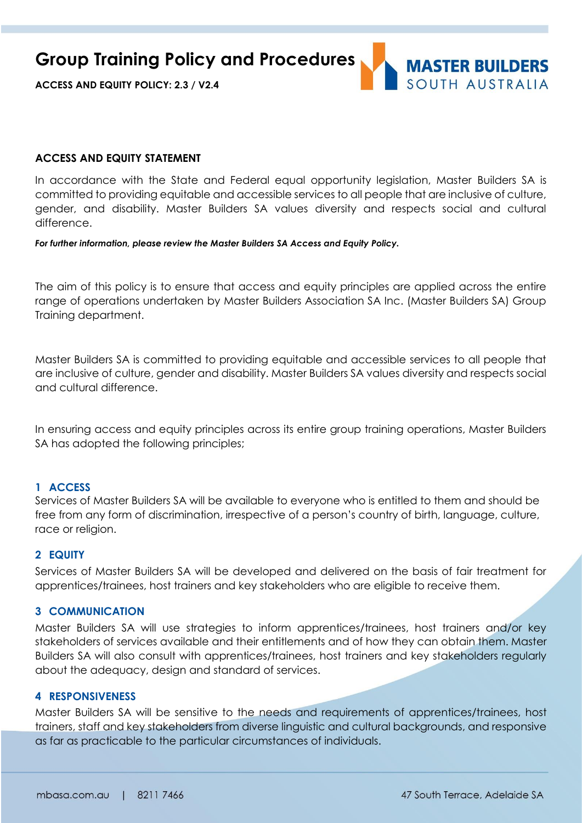**Group Training Policy and Procedures**



**ACCESS AND EQUITY POLICY: 2.3 / V2.4**

#### **ACCESS AND EQUITY STATEMENT**

In accordance with the State and Federal equal opportunity legislation, Master Builders SA is committed to providing equitable and accessible services to all people that are inclusive of culture, gender, and disability. Master Builders SA values diversity and respects social and cultural difference.

*For further information, please review the Master Builders SA Access and Equity Policy.*

The aim of this policy is to ensure that access and equity principles are applied across the entire range of operations undertaken by Master Builders Association SA Inc. (Master Builders SA) Group Training department.

Master Builders SA is committed to providing equitable and accessible services to all people that are inclusive of culture, gender and disability. Master Builders SA values diversity and respects social and cultural difference.

In ensuring access and equity principles across its entire group training operations, Master Builders SA has adopted the following principles;

## **1 ACCESS**

Services of Master Builders SA will be available to everyone who is entitled to them and should be free from any form of discrimination, irrespective of a person's country of birth, language, culture, race or religion.

#### **2 EQUITY**

Services of Master Builders SA will be developed and delivered on the basis of fair treatment for apprentices/trainees, host trainers and key stakeholders who are eligible to receive them.

#### **3 COMMUNICATION**

Master Builders SA will use strategies to inform apprentices/trainees, host trainers and/or key stakeholders of services available and their entitlements and of how they can obtain them. Master Builders SA will also consult with apprentices/trainees, host trainers and key stakeholders regularly about the adequacy, design and standard of services.

#### **4 RESPONSIVENESS**

Master Builders SA will be sensitive to the needs and requirements of apprentices/trainees, host trainers, staff and key stakeholders from diverse linguistic and cultural backgrounds, and responsive as far as practicable to the particular circumstances of individuals.